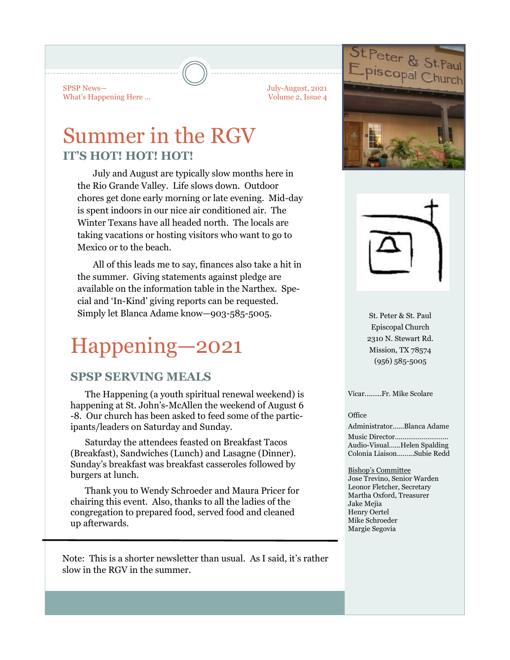SPSP News— What's Happening Here ... July-August, 2021 Volume 2, Issue 4

# Summer in the RGV **IT'S HOT! HOT! HOT!**

July and August are typically slow months here in the Rio Grande Valley. Life slows down. Outdoor chores get done early morning or late evening. Mid-day is spent indoors in our nice air conditioned air. The Winter Texans have all headed north. The locals are taking vacations or hosting visitors who want to go to Mexico or to the beach.

All of this leads me to say, finances also take a hit in the summer. Giving statements against pledge are available on the information table in the Narthex. Special and 'In-Kind' giving reports can be requested. Simply let Blanca Adame know-903-585-5005. St. Peter & St. Paul

# Happening—2021

## **SPSP SERVING MEALS**

The Happening (a youth spiritual renewal weekend) is happening at St. John's-McAllen the weekend of August 6 -8. Our church has been asked to feed some of the participants/leaders on Saturday and Sunday.

Saturday the attendees feasted on Breakfast Tacos (Breakfast), Sandwiches (Lunch) and Lasagne (Dinner). Sunday's breakfast was breakfast casseroles followed by burgers at lunch.

Thank you to Wendy Schroeder and Maura Pricer for chairing this event. Also, thanks to all the ladies of the congregation to prepared food, served food and cleaned up afterwards.

Note: This is a shorter newsletter than usual. As I said, it's rather slow in the RGV in the summer.





Episcopal Church 2310 N. Stewart Rd. Mission, TX 78574 (956) 585-5005

Vicar….…..Fr. Mike Scolare

#### **Office**

Administrator…...Blanca Adame Music Director………………………. Audio-Visual…...Helen Spalding Colonia Liaison……...Subie Redd

Bishop's Committee Jose Trevino, Senior Warden Leonor Fletcher, Secretary Martha Oxford, Treasurer Jake Mejia Henry Oertel Mike Schroeder Margie Segovia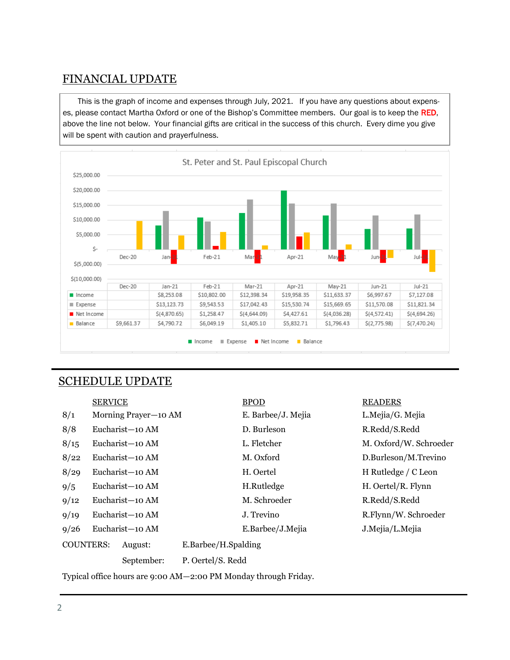# FINANCIAL UPDATE

This is the graph of income and expenses through July, 2021. If you have any questions about expenses, please contact Martha Oxford or one of the Bishop's Committee members. Our goal is to keep the RED, above the line not below. Your financial gifts are critical in the success of this church. Every dime you give will be spent with caution and prayerfulness.



### SCHEDULE UPDATE

|                                                                 | <b>SERVICE</b>  |                      |                     | <b>BPOD</b>        |  | <b>READERS</b>         |  |  |
|-----------------------------------------------------------------|-----------------|----------------------|---------------------|--------------------|--|------------------------|--|--|
| 8/1                                                             |                 | Morning Prayer-10 AM |                     | E. Barbee/J. Mejia |  | L.Mejia/G. Mejia       |  |  |
| 8/8                                                             |                 | Eucharist-10 AM      |                     | D. Burleson        |  | R.Redd/S.Redd          |  |  |
| 8/15                                                            |                 | Eucharist-10 AM      |                     | L. Fletcher        |  | M. Oxford/W. Schroeder |  |  |
| 8/22                                                            |                 | Eucharist-10 AM      |                     | M. Oxford          |  | D.Burleson/M.Trevino   |  |  |
| 8/29                                                            |                 | Eucharist-10 AM      |                     | H. Oertel          |  | H Rutledge / C Leon    |  |  |
| 9/5                                                             |                 | Eucharist-10 AM      |                     | H.Rutledge         |  | H. Oertel/R. Flynn     |  |  |
| 9/12                                                            | Eucharist-10 AM |                      |                     | M. Schroeder       |  | R.Redd/S.Redd          |  |  |
| 9/19                                                            | Eucharist-10 AM |                      |                     | J. Trevino         |  | R.Flynn/W. Schroeder   |  |  |
| 9/26                                                            |                 | Eucharist-10 AM      |                     | E.Barbee/J.Mejia   |  | J.Mejia/L.Mejia        |  |  |
| <b>COUNTERS:</b>                                                |                 | August:              | E.Barbee/H.Spalding |                    |  |                        |  |  |
|                                                                 |                 | September:           | P. Oertel/S. Redd   |                    |  |                        |  |  |
| Typical office hours are 9:00 AM-2:00 PM Monday through Friday. |                 |                      |                     |                    |  |                        |  |  |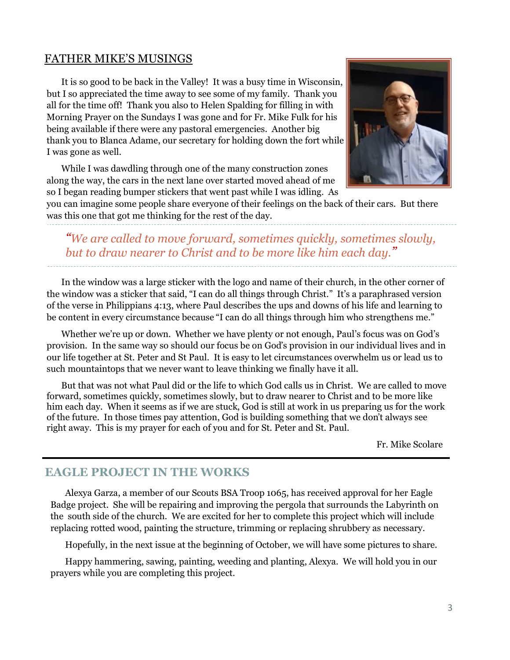## FATHER MIKE'S MUSINGS

It is so good to be back in the Valley! It was a busy time in Wisconsin, but I so appreciated the time away to see some of my family. Thank you all for the time off! Thank you also to Helen Spalding for filling in with Morning Prayer on the Sundays I was gone and for Fr. Mike Fulk for his being available if there were any pastoral emergencies. Another big thank you to Blanca Adame, our secretary for holding down the fort while I was gone as well.

While I was dawdling through one of the many construction zones along the way, the cars in the next lane over started moved ahead of me so I began reading bumper stickers that went past while I was idling. As



you can imagine some people share everyone of their feelings on the back of their cars. But there was this one that got me thinking for the rest of the day.

*"We are called to move forward, sometimes quickly, sometimes slowly, but to draw nearer to Christ and to be more like him each day."*

In the window was a large sticker with the logo and name of their church, in the other corner of the window was a sticker that said, "I can do all things through Christ." It's a paraphrased version of the verse in Philippians 4:13, where Paul describes the ups and downs of his life and learning to be content in every circumstance because "I can do all things through him who strengthens me."

Whether we're up or down. Whether we have plenty or not enough, Paul's focus was on God's provision. In the same way so should our focus be on God's provision in our individual lives and in our life together at St. Peter and St Paul. It is easy to let circumstances overwhelm us or lead us to such mountaintops that we never want to leave thinking we finally have it all.

But that was not what Paul did or the life to which God calls us in Christ. We are called to move forward, sometimes quickly, sometimes slowly, but to draw nearer to Christ and to be more like him each day. When it seems as if we are stuck, God is still at work in us preparing us for the work of the future. In those times pay attention, God is building something that we don't always see right away. This is my prayer for each of you and for St. Peter and St. Paul.

Fr. Mike Scolare

#### **EAGLE PROJECT IN THE WORKS**

Alexya Garza, a member of our Scouts BSA Troop 1065, has received approval for her Eagle Badge project. She will be repairing and improving the pergola that surrounds the Labyrinth on the south side of the church. We are excited for her to complete this project which will include replacing rotted wood, painting the structure, trimming or replacing shrubbery as necessary.

Hopefully, in the next issue at the beginning of October, we will have some pictures to share.

Happy hammering, sawing, painting, weeding and planting, Alexya. We will hold you in our prayers while you are completing this project.